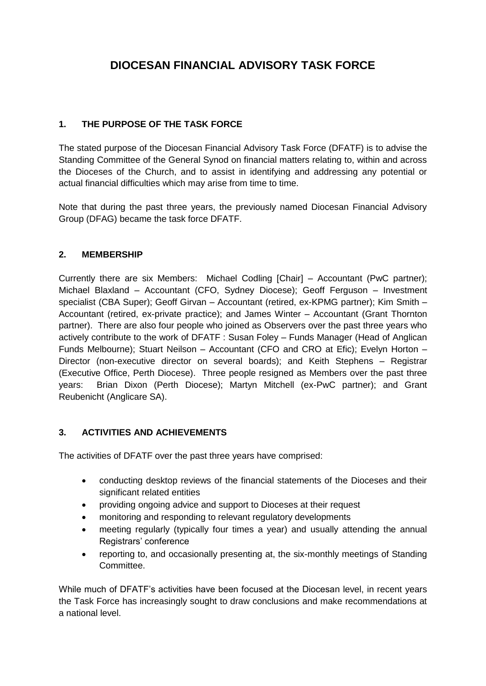# **DIOCESAN FINANCIAL ADVISORY TASK FORCE**

## **1. THE PURPOSE OF THE TASK FORCE**

The stated purpose of the Diocesan Financial Advisory Task Force (DFATF) is to advise the Standing Committee of the General Synod on financial matters relating to, within and across the Dioceses of the Church, and to assist in identifying and addressing any potential or actual financial difficulties which may arise from time to time.

Note that during the past three years, the previously named Diocesan Financial Advisory Group (DFAG) became the task force DFATF.

## **2. MEMBERSHIP**

Currently there are six Members: Michael Codling [Chair] – Accountant (PwC partner); Michael Blaxland – Accountant (CFO, Sydney Diocese); Geoff Ferguson – Investment specialist (CBA Super); Geoff Girvan – Accountant (retired, ex-KPMG partner); Kim Smith – Accountant (retired, ex-private practice); and James Winter – Accountant (Grant Thornton partner). There are also four people who joined as Observers over the past three years who actively contribute to the work of DFATF : Susan Foley – Funds Manager (Head of Anglican Funds Melbourne); Stuart Neilson – Accountant (CFO and CRO at Efic); Evelyn Horton – Director (non-executive director on several boards); and Keith Stephens – Registrar (Executive Office, Perth Diocese). Three people resigned as Members over the past three years: Brian Dixon (Perth Diocese); Martyn Mitchell (ex-PwC partner); and Grant Reubenicht (Anglicare SA).

## **3. ACTIVITIES AND ACHIEVEMENTS**

The activities of DFATF over the past three years have comprised:

- conducting desktop reviews of the financial statements of the Dioceses and their significant related entities
- providing ongoing advice and support to Dioceses at their request
- monitoring and responding to relevant regulatory developments
- meeting regularly (typically four times a year) and usually attending the annual Registrars' conference
- reporting to, and occasionally presenting at, the six-monthly meetings of Standing Committee.

While much of DFATF's activities have been focused at the Diocesan level, in recent years the Task Force has increasingly sought to draw conclusions and make recommendations at a national level.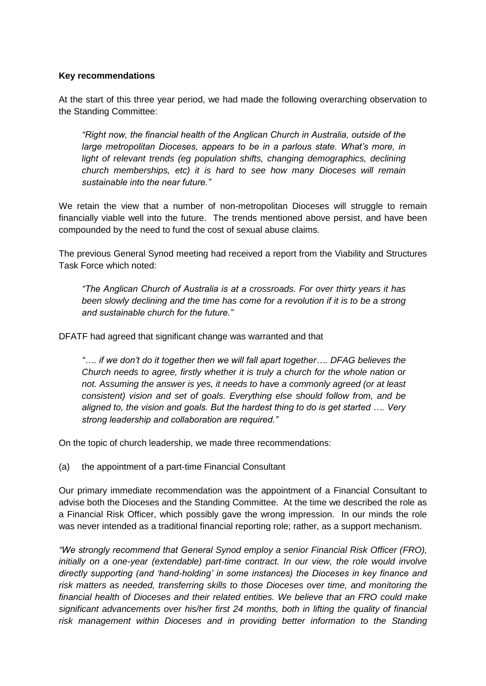#### **Key recommendations**

At the start of this three year period, we had made the following overarching observation to the Standing Committee:

*"Right now, the financial health of the Anglican Church in Australia, outside of the large metropolitan Dioceses, appears to be in a parlous state. What's more, in*  light of relevant trends (eg population shifts, changing demographics, declining *church memberships, etc) it is hard to see how many Dioceses will remain sustainable into the near future."*

We retain the view that a number of non-metropolitan Dioceses will struggle to remain financially viable well into the future. The trends mentioned above persist, and have been compounded by the need to fund the cost of sexual abuse claims.

The previous General Synod meeting had received a report from the Viability and Structures Task Force which noted:

*"The Anglican Church of Australia is at a crossroads. For over thirty years it has been slowly declining and the time has come for a revolution if it is to be a strong and sustainable church for the future."*

DFATF had agreed that significant change was warranted and that

*"…. if we don't do it together then we will fall apart together…. DFAG believes the Church needs to agree, firstly whether it is truly a church for the whole nation or not. Assuming the answer is yes, it needs to have a commonly agreed (or at least consistent) vision and set of goals. Everything else should follow from, and be aligned to, the vision and goals. But the hardest thing to do is get started …. Very strong leadership and collaboration are required."*

On the topic of church leadership, we made three recommendations:

(a) the appointment of a part-time Financial Consultant

Our primary immediate recommendation was the appointment of a Financial Consultant to advise both the Dioceses and the Standing Committee. At the time we described the role as a Financial Risk Officer, which possibly gave the wrong impression. In our minds the role was never intended as a traditional financial reporting role; rather, as a support mechanism.

*"We strongly recommend that General Synod employ a senior Financial Risk Officer (FRO), initially on a one-year (extendable) part-time contract. In our view, the role would involve directly supporting (and 'hand-holding' in some instances) the Dioceses in key finance and risk matters as needed, transferring skills to those Dioceses over time, and monitoring the financial health of Dioceses and their related entities. We believe that an FRO could make significant advancements over his/her first 24 months, both in lifting the quality of financial risk management within Dioceses and in providing better information to the Standing*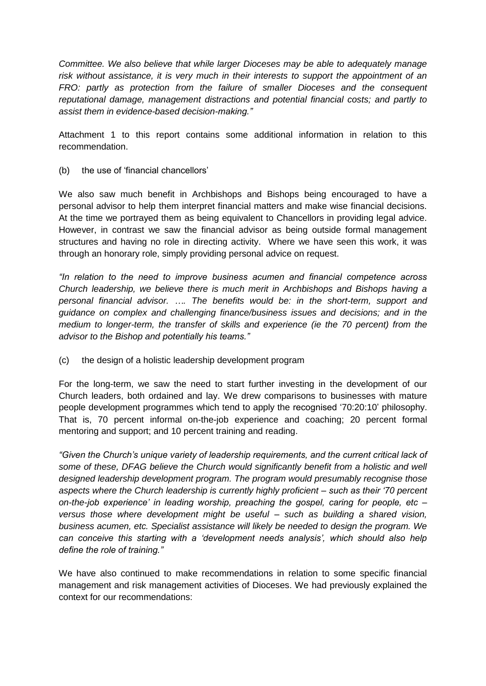*Committee. We also believe that while larger Dioceses may be able to adequately manage risk without assistance, it is very much in their interests to support the appointment of an FRO: partly as protection from the failure of smaller Dioceses and the consequent reputational damage, management distractions and potential financial costs; and partly to assist them in evidence-based decision-making."*

Attachment 1 to this report contains some additional information in relation to this recommendation.

(b) the use of 'financial chancellors'

We also saw much benefit in Archbishops and Bishops being encouraged to have a personal advisor to help them interpret financial matters and make wise financial decisions. At the time we portrayed them as being equivalent to Chancellors in providing legal advice. However, in contrast we saw the financial advisor as being outside formal management structures and having no role in directing activity. Where we have seen this work, it was through an honorary role, simply providing personal advice on request.

*"In relation to the need to improve business acumen and financial competence across Church leadership, we believe there is much merit in Archbishops and Bishops having a personal financial advisor. …. The benefits would be: in the short-term, support and guidance on complex and challenging finance/business issues and decisions; and in the medium to longer-term, the transfer of skills and experience (ie the 70 percent) from the advisor to the Bishop and potentially his teams."*

(c) the design of a holistic leadership development program

For the long-term, we saw the need to start further investing in the development of our Church leaders, both ordained and lay. We drew comparisons to businesses with mature people development programmes which tend to apply the recognised '70:20:10' philosophy. That is, 70 percent informal on-the-job experience and coaching; 20 percent formal mentoring and support; and 10 percent training and reading.

*"Given the Church's unique variety of leadership requirements, and the current critical lack of some of these, DFAG believe the Church would significantly benefit from a holistic and well designed leadership development program. The program would presumably recognise those aspects where the Church leadership is currently highly proficient – such as their '70 percent on-the-job experience' in leading worship, preaching the gospel, caring for people, etc – versus those where development might be useful – such as building a shared vision, business acumen, etc. Specialist assistance will likely be needed to design the program. We can conceive this starting with a 'development needs analysis', which should also help define the role of training."*

We have also continued to make recommendations in relation to some specific financial management and risk management activities of Dioceses. We had previously explained the context for our recommendations: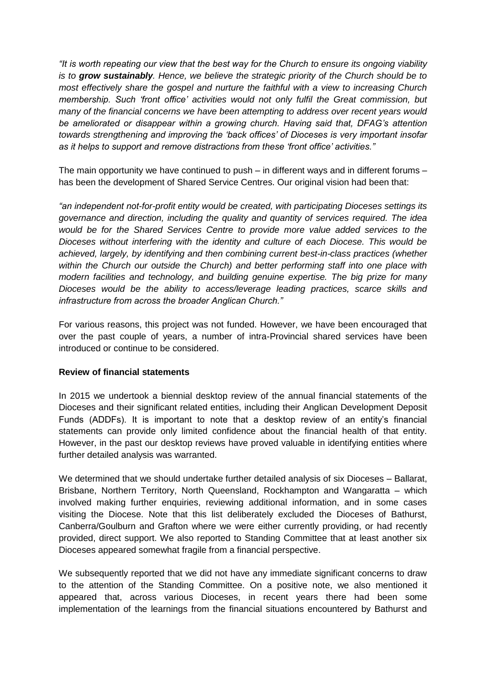*"It is worth repeating our view that the best way for the Church to ensure its ongoing viability is to grow sustainably. Hence, we believe the strategic priority of the Church should be to most effectively share the gospel and nurture the faithful with a view to increasing Church membership. Such 'front office' activities would not only fulfil the Great commission, but many of the financial concerns we have been attempting to address over recent years would be ameliorated or disappear within a growing church. Having said that, DFAG's attention towards strengthening and improving the 'back offices' of Dioceses is very important insofar as it helps to support and remove distractions from these 'front office' activities."*

The main opportunity we have continued to push – in different ways and in different forums – has been the development of Shared Service Centres. Our original vision had been that:

*"an independent not-for-profit entity would be created, with participating Dioceses settings its governance and direction, including the quality and quantity of services required. The idea would be for the Shared Services Centre to provide more value added services to the Dioceses without interfering with the identity and culture of each Diocese. This would be achieved, largely, by identifying and then combining current best-in-class practices (whether within the Church our outside the Church) and better performing staff into one place with modern facilities and technology, and building genuine expertise. The big prize for many Dioceses would be the ability to access/leverage leading practices, scarce skills and infrastructure from across the broader Anglican Church."*

For various reasons, this project was not funded. However, we have been encouraged that over the past couple of years, a number of intra-Provincial shared services have been introduced or continue to be considered.

#### **Review of financial statements**

In 2015 we undertook a biennial desktop review of the annual financial statements of the Dioceses and their significant related entities, including their Anglican Development Deposit Funds (ADDFs). It is important to note that a desktop review of an entity's financial statements can provide only limited confidence about the financial health of that entity. However, in the past our desktop reviews have proved valuable in identifying entities where further detailed analysis was warranted.

We determined that we should undertake further detailed analysis of six Dioceses – Ballarat, Brisbane, Northern Territory, North Queensland, Rockhampton and Wangaratta – which involved making further enquiries, reviewing additional information, and in some cases visiting the Diocese. Note that this list deliberately excluded the Dioceses of Bathurst, Canberra/Goulburn and Grafton where we were either currently providing, or had recently provided, direct support. We also reported to Standing Committee that at least another six Dioceses appeared somewhat fragile from a financial perspective.

We subsequently reported that we did not have any immediate significant concerns to draw to the attention of the Standing Committee. On a positive note, we also mentioned it appeared that, across various Dioceses, in recent years there had been some implementation of the learnings from the financial situations encountered by Bathurst and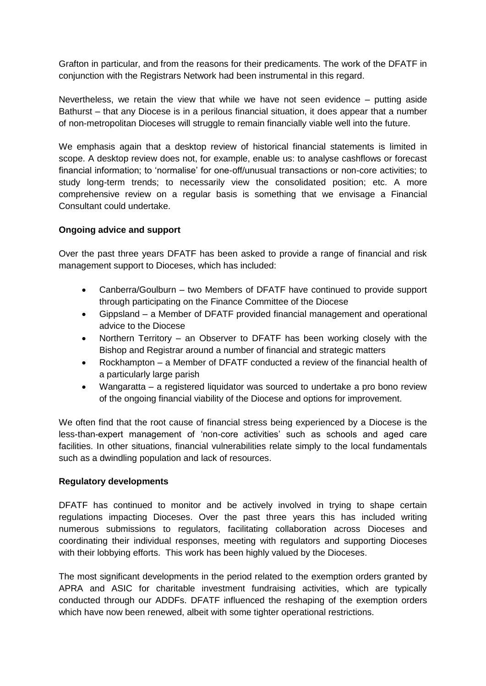Grafton in particular, and from the reasons for their predicaments. The work of the DFATF in conjunction with the Registrars Network had been instrumental in this regard.

Nevertheless, we retain the view that while we have not seen evidence – putting aside Bathurst – that any Diocese is in a perilous financial situation, it does appear that a number of non-metropolitan Dioceses will struggle to remain financially viable well into the future.

We emphasis again that a desktop review of historical financial statements is limited in scope. A desktop review does not, for example, enable us: to analyse cashflows or forecast financial information; to 'normalise' for one-off/unusual transactions or non-core activities; to study long-term trends; to necessarily view the consolidated position; etc. A more comprehensive review on a regular basis is something that we envisage a Financial Consultant could undertake.

#### **Ongoing advice and support**

Over the past three years DFATF has been asked to provide a range of financial and risk management support to Dioceses, which has included:

- Canberra/Goulburn two Members of DFATF have continued to provide support through participating on the Finance Committee of the Diocese
- Gippsland a Member of DFATF provided financial management and operational advice to the Diocese
- Northern Territory an Observer to DFATF has been working closely with the Bishop and Registrar around a number of financial and strategic matters
- Rockhampton a Member of DFATF conducted a review of the financial health of a particularly large parish
- Wangaratta a registered liquidator was sourced to undertake a pro bono review of the ongoing financial viability of the Diocese and options for improvement.

We often find that the root cause of financial stress being experienced by a Diocese is the less-than-expert management of 'non-core activities' such as schools and aged care facilities. In other situations, financial vulnerabilities relate simply to the local fundamentals such as a dwindling population and lack of resources.

#### **Regulatory developments**

DFATF has continued to monitor and be actively involved in trying to shape certain regulations impacting Dioceses. Over the past three years this has included writing numerous submissions to regulators, facilitating collaboration across Dioceses and coordinating their individual responses, meeting with regulators and supporting Dioceses with their lobbying efforts. This work has been highly valued by the Dioceses.

The most significant developments in the period related to the exemption orders granted by APRA and ASIC for charitable investment fundraising activities, which are typically conducted through our ADDFs. DFATF influenced the reshaping of the exemption orders which have now been renewed, albeit with some tighter operational restrictions.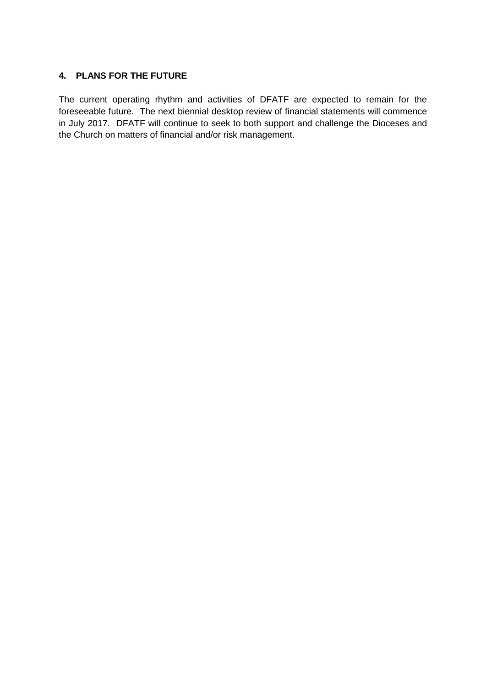#### **4. PLANS FOR THE FUTURE**

The current operating rhythm and activities of DFATF are expected to remain for the foreseeable future. The next biennial desktop review of financial statements will commence in July 2017. DFATF will continue to seek to both support and challenge the Dioceses and the Church on matters of financial and/or risk management.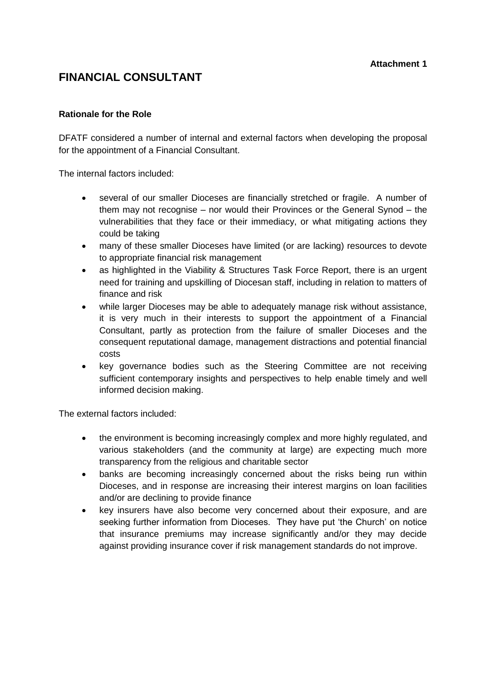## **FINANCIAL CONSULTANT**

#### **Rationale for the Role**

DFATF considered a number of internal and external factors when developing the proposal for the appointment of a Financial Consultant.

The internal factors included:

- several of our smaller Dioceses are financially stretched or fragile. A number of them may not recognise – nor would their Provinces or the General Synod – the vulnerabilities that they face or their immediacy, or what mitigating actions they could be taking
- many of these smaller Dioceses have limited (or are lacking) resources to devote to appropriate financial risk management
- as highlighted in the Viability & Structures Task Force Report, there is an urgent need for training and upskilling of Diocesan staff, including in relation to matters of finance and risk
- while larger Dioceses may be able to adequately manage risk without assistance, it is very much in their interests to support the appointment of a Financial Consultant, partly as protection from the failure of smaller Dioceses and the consequent reputational damage, management distractions and potential financial costs
- key governance bodies such as the Steering Committee are not receiving sufficient contemporary insights and perspectives to help enable timely and well informed decision making.

The external factors included:

- the environment is becoming increasingly complex and more highly regulated, and various stakeholders (and the community at large) are expecting much more transparency from the religious and charitable sector
- banks are becoming increasingly concerned about the risks being run within Dioceses, and in response are increasing their interest margins on loan facilities and/or are declining to provide finance
- key insurers have also become very concerned about their exposure, and are seeking further information from Dioceses. They have put 'the Church' on notice that insurance premiums may increase significantly and/or they may decide against providing insurance cover if risk management standards do not improve.